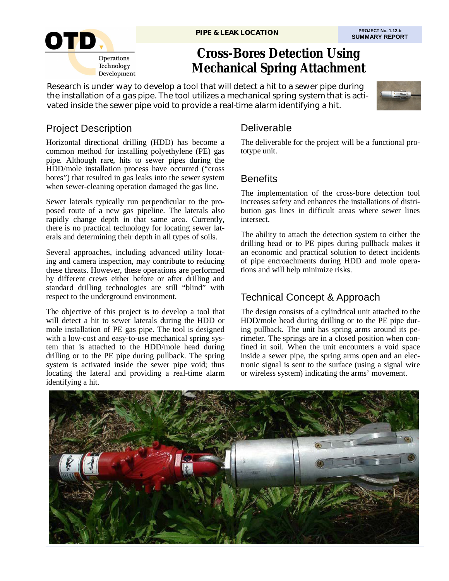

# **Cross-Bores Detection Using Mechanical Spring Attachment**

Research is under way to develop a tool that will detect a hit to a sewer pipe during the installation of a gas pipe. The tool utilizes a mechanical spring system that is activated inside the sewer pipe void to provide a real-time alarm identifying a hit.



# Project Description

Horizontal directional drilling (HDD) has become a common method for installing polyethylene (PE) gas pipe. Although rare, hits to sewer pipes during the HDD/mole installation process have occurred ("cross bores") that resulted in gas leaks into the sewer system when sewer-cleaning operation damaged the gas line.

Sewer laterals typically run perpendicular to the proposed route of a new gas pipeline. The laterals also rapidly change depth in that same area. Currently, there is no practical technology for locating sewer laterals and determining their depth in all types of soils.

Several approaches, including advanced utility locating and camera inspection, may contribute to reducing these threats. However, these operations are performed by different crews either before or after drilling and standard drilling technologies are still "blind" with respect to the underground environment.

The objective of this project is to develop a tool that will detect a hit to sewer laterals during the HDD or mole installation of PE gas pipe. The tool is designed with a low-cost and easy-to-use mechanical spring system that is attached to the HDD/mole head during drilling or to the PE pipe during pullback. The spring system is activated inside the sewer pipe void; thus locating the lateral and providing a real-time alarm identifying a hit.

### **Deliverable**

The deliverable for the project will be a functional prototype unit.

## **Benefits**

The implementation of the cross-bore detection tool increases safety and enhances the installations of distribution gas lines in difficult areas where sewer lines intersect.

The ability to attach the detection system to either the drilling head or to PE pipes during pullback makes it an economic and practical solution to detect incidents of pipe encroachments during HDD and mole operations and will help minimize risks.

# Technical Concept & Approach

The design consists of a cylindrical unit attached to the HDD/mole head during drilling or to the PE pipe during pullback. The unit has spring arms around its perimeter. The springs are in a closed position when confined in soil. When the unit encounters a void space inside a sewer pipe, the spring arms open and an electronic signal is sent to the surface (using a signal wire or wireless system) indicating the arms' movement.